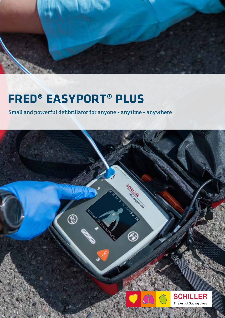

# **FRED® EASYPORT® PLUS**

Small and powerful defibrillator for anyone – anytime – anywhere

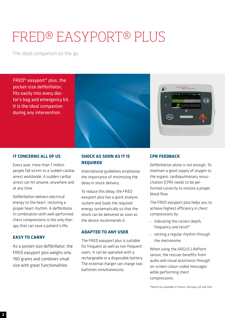# FRED® EASYPORT® PLUS

The ideal companion on the go

FRED® easyport® plus, the pocket-size defibrillator, fits easily into every doctor's bag and emergency kit. It is the ideal companion during any intervention.





#### **IT CONCERNS ALL OF US**

Every year, more than 7 million people fall victim to a sudden cardiac arrest worldwide. A sudden cardiac arrest can hit anyone, anywhere and at any time.

Defibrillation delivers electrical energy to the heart, restoring a proper heart rhythm. A defibrillator in combination with well-performed chest compressions is the only therapy that can save a patient's life.

#### **EASY TO CARRY**

As a pocket-size defibrillator, the FRED easyport plus weighs only 780 grams and combines small size with great functionalities.

# **SHOCK AS SOON AS IT IS REQUIRED**

International guidelines emphasise the importance of minimising the delay in shock delivery.

To reduce this delay, the FRED easyport plus has a quick analysis system and loads the required energy systematically so that the shock can be delivered as soon as the device recommends it.

#### **ADAPTED TO ANY USER**

The FRED easyport plus is suitable for frequent as well as non frequent users. It can be operated with a rechargeable or a disposable battery. The external charger can charge two batteries simultaneously.

### **CPR FEEDBACK**

Defibrillation alone is not enough. To maintain a good supply of oxygen to the organs, cardiopulmonary resuscitation (CPR) needs to be performed correctly to restore a proper blood flow.

The FRED easyport plus helps you to achieve highest efficiency in chest compressions by:

- : indicating the correct depth, frequency and recoil\*
- setting a regular rhythm through the metronome

When using the ARGUS LifePoint sensor, the rescuer benefits from audio and visual assistance through on-screen colour-coded messages while performing chest compressions.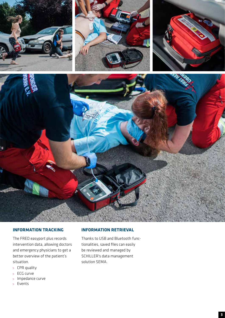







## **INFORMATION TRACKING**

The FRED easyport plus records intervention data, allowing doctors and emergency physicians to get a better overview of the patient's situation.

- $\therefore$  CPR quality
- ECG curve
- **:** Impedance curve
- Events

# **INFORMATION RETRIEVAL**

Thanks to USB and Bluetooth functionalities, saved files can easily be reviewed and managed by SCHILLER's data management solution SEMA.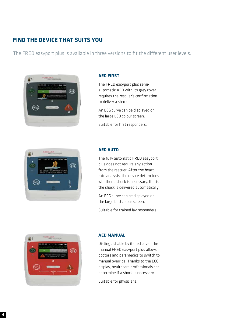# **FIND THE DEVICE THAT SUITS YOU**

The FRED easyport plus is available in three versions to fit the different user levels.



#### **AED FIRST**

The FRED easyport plus semiautomatic AED with its grey cover requires the rescuer's confirmation to deliver a shock.

An ECG curve can be displayed on the large LCD colour screen.

Suitable for first responders.



#### **AED AUTO**

The fully automatic FRED easyport plus does not require any action from the rescuer. After the heart rate analysis, the device determines whether a shock is necessary. If it is, the shock is delivered automatically.

An ECG curve can be displayed on the large LCD colour screen.

Suitable for trained lay responders.



## **AED MANUAL**

Distinguishable by its red cover, the manual FRED easyport plus allows doctors and paramedics to switch to manual override. Thanks to the ECG display, healthcare professionals can determine if a shock is necessary.

Suitable for physicians.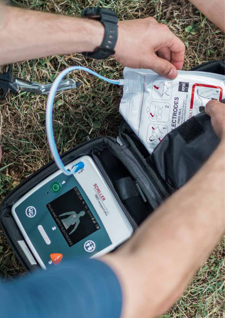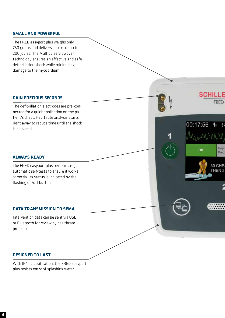#### **SMALL AND POWERFUL**

The FRED easyport plus weighs only 780 grams and delivers shocks of up to 200 joules. The Multipulse Biowave® technology ensures an effective and safe defibrillation shock while minimising damage to the myocardium.

#### **GAIN PRECIOUS SECONDS**

The defibrillation electrodes are pre-connected for a quick application on the patient's chest. Heart rate analysis starts right away to reduce time until the shock is delivered.

#### **ALWAYS READY**

The FRED easyport plus performs regular automatic self-tests to ensure it works correctly. Its status is indicated by the flashing on/off button.

#### **DATA TRANSMISSION TO SEMA**

Intervention data can be sent via USB or Bluetooth for review by healthcare professionals.



### **DESIGNED TO LAST**

With IP44 classification, the FRED easyport plus resists entry of splashing water.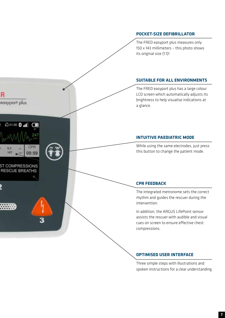#### **POCKET-SIZE DEFIBRILLATOR**

The FRED easyport plus measures only 150 x 143 millimeters – this photo shows its original size (1:1)!

#### **SUITABLE FOR ALL ENVIRONMENTS**

The FRED easyport plus has a large colour LCD screen which automatically adjusts its brightness to help visualise indications at a glance.

#### **INTUITIVE PAEDIATRIC MODE**

While using the same electrodes, just press this button to change the patient mode.

#### **CPR FEEDBACK**

The integrated metronome sets the correct rhythm and guides the rescuer during the intervention.

In addition, the ARGUS LifePoint sensor assists the rescuer with audible and visual cues on screen to ensure effective chest compressions.

#### **OPTIMISED USER INTERFACE**

Three simple steps with illustrations and spoken instructions for a clear understanding.